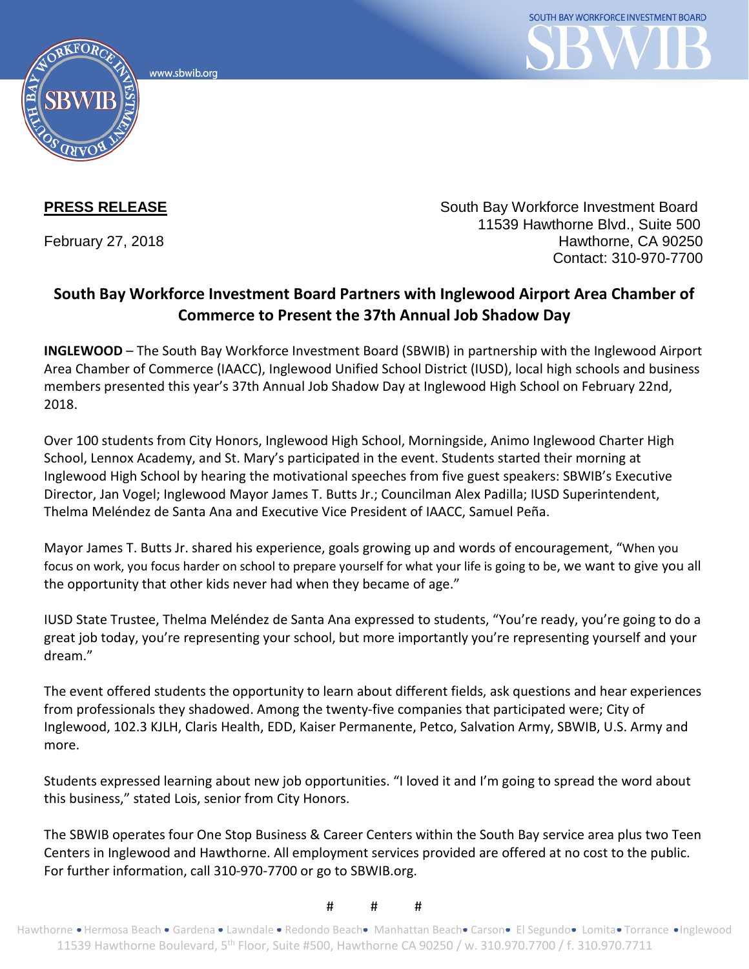www.sbwib.org



**PRESS RELEASE** South Bay Workforce Investment Board 11539 Hawthorne Blvd., Suite 500 February 27, 2018 **Hawthorne**, CA 90250 Contact: 310-970-7700

## **South Bay Workforce Investment Board Partners with Inglewood Airport Area Chamber of Commerce to Present the 37th Annual Job Shadow Day**

**INGLEWOOD** – The South Bay Workforce Investment Board (SBWIB) in partnership with the Inglewood Airport Area Chamber of Commerce (IAACC), Inglewood Unified School District (IUSD), local high schools and business members presented this year's 37th Annual Job Shadow Day at Inglewood High School on February 22nd, 2018.

Over 100 students from City Honors, Inglewood High School, Morningside, Animo Inglewood Charter High School, Lennox Academy, and St. Mary's participated in the event. Students started their morning at Inglewood High School by hearing the motivational speeches from five guest speakers: SBWIB's Executive Director, Jan Vogel; Inglewood Mayor James T. Butts Jr.; Councilman Alex Padilla; IUSD Superintendent, Thelma Meléndez de Santa Ana and Executive Vice President of IAACC, Samuel Peña.

Mayor James T. Butts Jr. shared his experience, goals growing up and words of encouragement, "When you focus on work, you focus harder on school to prepare yourself for what your life is going to be, we want to give you all the opportunity that other kids never had when they became of age."

IUSD State Trustee, Thelma Meléndez de Santa Ana expressed to students, "You're ready, you're going to do a great job today, you're representing your school, but more importantly you're representing yourself and your dream."

The event offered students the opportunity to learn about different fields, ask questions and hear experiences from professionals they shadowed. Among the twenty-five companies that participated were; City of Inglewood, 102.3 KJLH, Claris Health, EDD, Kaiser Permanente, Petco, Salvation Army, SBWIB, U.S. Army and more.

Students expressed learning about new job opportunities. "I loved it and I'm going to spread the word about this business," stated Lois, senior from City Honors.

The SBWIB operates four One Stop Business & Career Centers within the South Bay service area plus two Teen Centers in Inglewood and Hawthorne. All employment services provided are offered at no cost to the public. For further information, call 310-970-7700 or go to SBWIB.org.

# # #